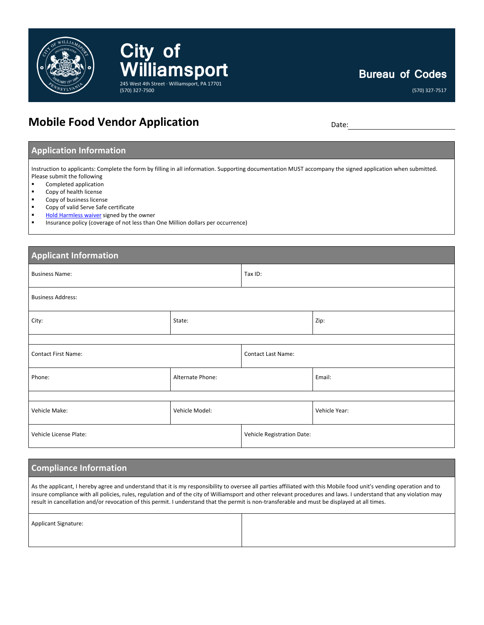

# **Mobile Food Vendor Application** Date: Date:

**Bureau of Codes**

(570) 327-7517

# **Application Information**

Instruction to applicants: Complete the form by filling in all information. Supporting documentation MUST accompany the signed application when submitted. Please submit the following

- Completed application
- **Copy of health license**
- **Copy of business license**
- Copy of valid Serve Safe certificate
- [Hold Harmless waiver](https://williamsport.city/departments/bureau-of-codes/applications/indemnification-hold-harmless-agreement) signed by the owner
- **EXECT** Insurance policy (coverage of not less than One Million dollars per occurrence)

**City of** 

(570) 327-7500

**iamsport** 

245 West 4th Street · Williamsport, PA 17701

| <b>Applicant Information</b> |                  |                            |               |  |  |
|------------------------------|------------------|----------------------------|---------------|--|--|
| <b>Business Name:</b>        |                  | Tax ID:                    |               |  |  |
| <b>Business Address:</b>     |                  |                            |               |  |  |
| City:                        | State:           |                            | Zip:          |  |  |
|                              |                  |                            |               |  |  |
| <b>Contact First Name:</b>   |                  | <b>Contact Last Name:</b>  |               |  |  |
| Phone:                       | Alternate Phone: |                            | Email:        |  |  |
|                              |                  |                            |               |  |  |
| Vehicle Make:                | Vehicle Model:   |                            | Vehicle Year: |  |  |
| Vehicle License Plate:       |                  | Vehicle Registration Date: |               |  |  |

### **Compliance Information**

As the applicant, I hereby agree and understand that it is my responsibility to oversee all parties affiliated with this Mobile food unit's vending operation and to insure compliance with all policies, rules, regulation and of the city of Williamsport and other relevant procedures and laws. I understand that any violation may result in cancellation and/or revocation of this permit. I understand that the permit is non-transferable and must be displayed at all times.

|  | <b>Applicant Signature:</b> |
|--|-----------------------------|
|--|-----------------------------|